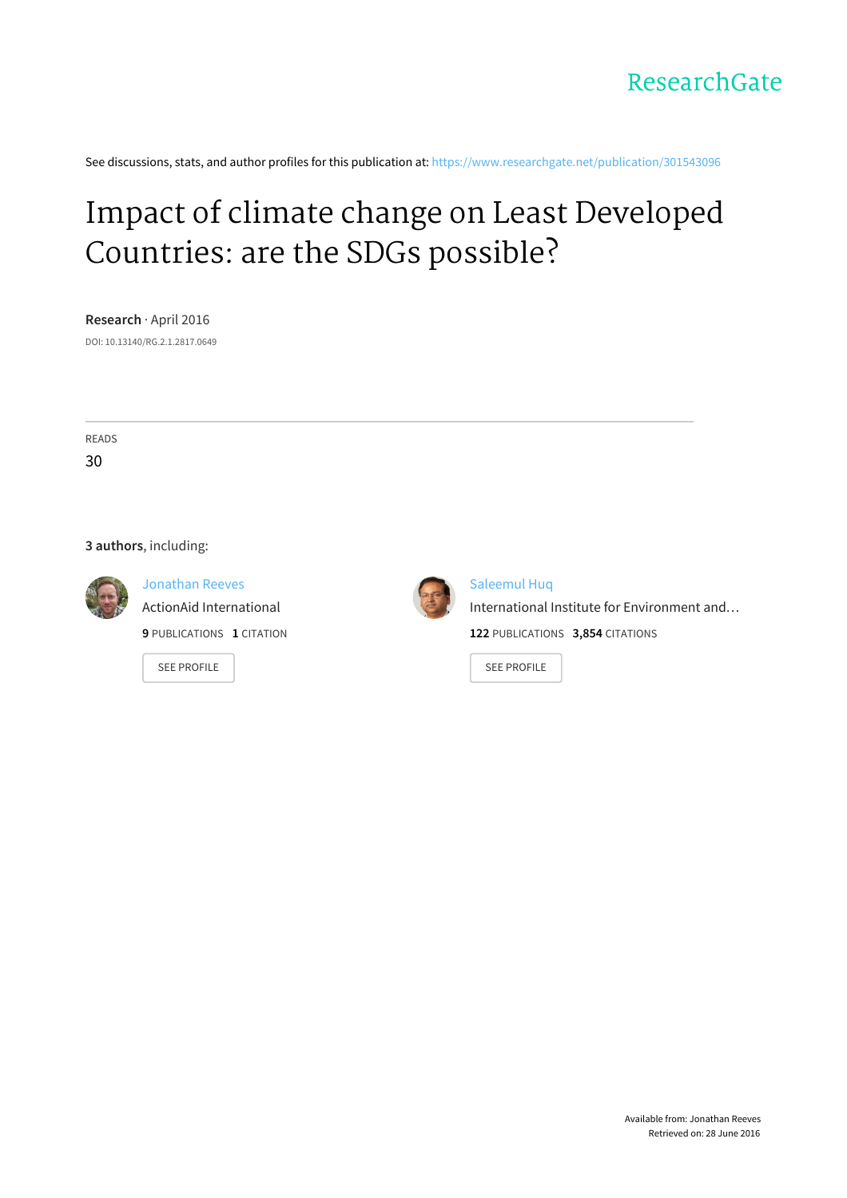

See discussions, stats, and author profiles for this publication at: [https://www.researchgate.net/publication/301543096](https://www.researchgate.net/publication/301543096_Impact_of_climate_change_on_Least_Developed_Countries_are_the_SDGs_possible?enrichId=rgreq-155b86f9ec8e4ab7b6dd7ddb40ec4f5a-XXX&enrichSource=Y292ZXJQYWdlOzMwMTU0MzA5NjtBUzozNTMwNjg0MjEwMDk0MDhAMTQ2MTE4OTQ3OTI0Mw%3D%3D&el=1_x_2)

## Impact of climate change on Least [Developed](https://www.researchgate.net/publication/301543096_Impact_of_climate_change_on_Least_Developed_Countries_are_the_SDGs_possible?enrichId=rgreq-155b86f9ec8e4ab7b6dd7ddb40ec4f5a-XXX&enrichSource=Y292ZXJQYWdlOzMwMTU0MzA5NjtBUzozNTMwNjg0MjEwMDk0MDhAMTQ2MTE4OTQ3OTI0Mw%3D%3D&el=1_x_3) Countries: are the SDGs possible?

**Research** · April 2016

DOI: 10.13140/RG.2.1.2817.0649

READS 30

#### **3 authors**, including:



[Jonathan](https://www.researchgate.net/profile/Jonathan_Reeves8?enrichId=rgreq-155b86f9ec8e4ab7b6dd7ddb40ec4f5a-XXX&enrichSource=Y292ZXJQYWdlOzMwMTU0MzA5NjtBUzozNTMwNjg0MjEwMDk0MDhAMTQ2MTE4OTQ3OTI0Mw%3D%3D&el=1_x_5) Reeves ActionAid [International](https://www.researchgate.net/institution/ActionAid_International?enrichId=rgreq-155b86f9ec8e4ab7b6dd7ddb40ec4f5a-XXX&enrichSource=Y292ZXJQYWdlOzMwMTU0MzA5NjtBUzozNTMwNjg0MjEwMDk0MDhAMTQ2MTE4OTQ3OTI0Mw%3D%3D&el=1_x_6) **9** PUBLICATIONS **1** CITATION

SEE [PROFILE](https://www.researchgate.net/profile/Jonathan_Reeves8?enrichId=rgreq-155b86f9ec8e4ab7b6dd7ddb40ec4f5a-XXX&enrichSource=Y292ZXJQYWdlOzMwMTU0MzA5NjtBUzozNTMwNjg0MjEwMDk0MDhAMTQ2MTE4OTQ3OTI0Mw%3D%3D&el=1_x_7)



#### [Saleemul](https://www.researchgate.net/profile/Saleemul_Huq?enrichId=rgreq-155b86f9ec8e4ab7b6dd7ddb40ec4f5a-XXX&enrichSource=Y292ZXJQYWdlOzMwMTU0MzA5NjtBUzozNTMwNjg0MjEwMDk0MDhAMTQ2MTE4OTQ3OTI0Mw%3D%3D&el=1_x_5) Huq

[International](https://www.researchgate.net/institution/International_Institute_for_Environment_and_Development?enrichId=rgreq-155b86f9ec8e4ab7b6dd7ddb40ec4f5a-XXX&enrichSource=Y292ZXJQYWdlOzMwMTU0MzA5NjtBUzozNTMwNjg0MjEwMDk0MDhAMTQ2MTE4OTQ3OTI0Mw%3D%3D&el=1_x_6) Institute for Environment and… **122** PUBLICATIONS **3,854** CITATIONS

SEE [PROFILE](https://www.researchgate.net/profile/Saleemul_Huq?enrichId=rgreq-155b86f9ec8e4ab7b6dd7ddb40ec4f5a-XXX&enrichSource=Y292ZXJQYWdlOzMwMTU0MzA5NjtBUzozNTMwNjg0MjEwMDk0MDhAMTQ2MTE4OTQ3OTI0Mw%3D%3D&el=1_x_7)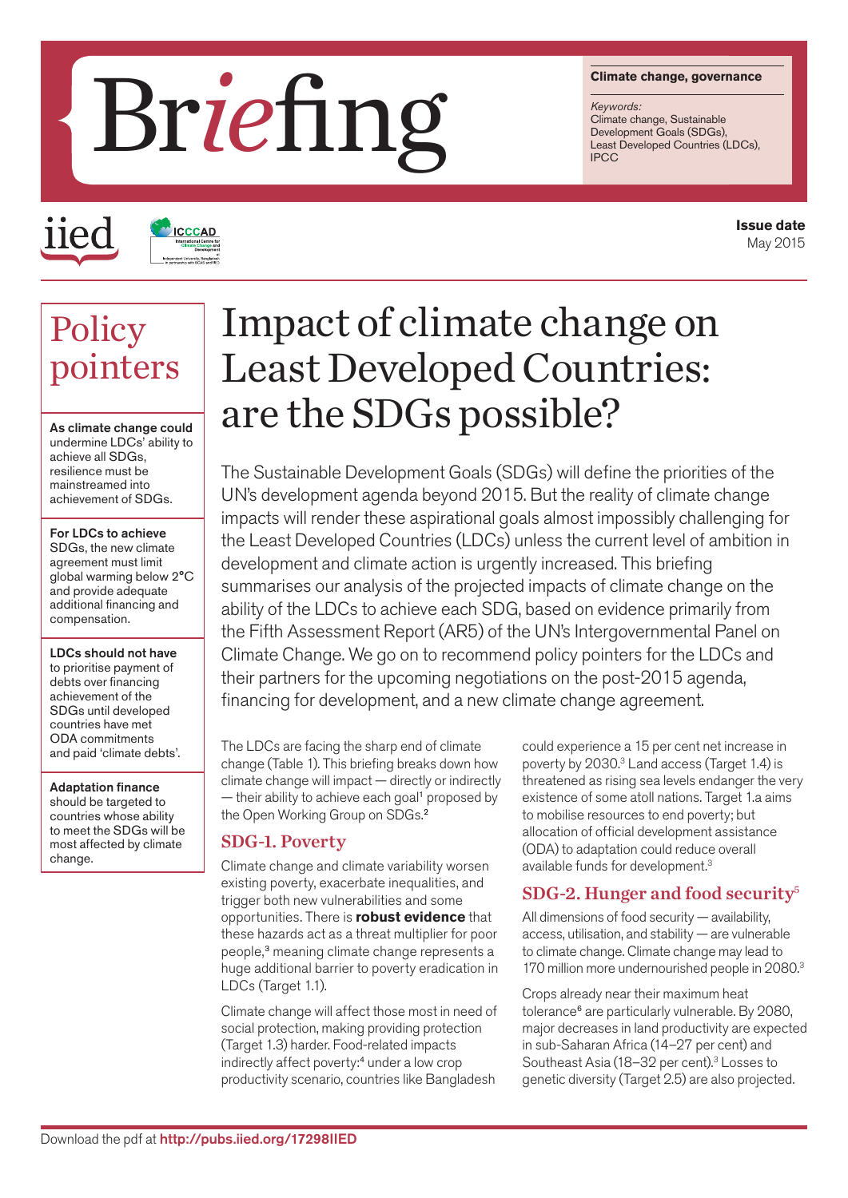#### **Climate change, governance**

*Keywords:* Climate change, Sustainable Development Goals (SDGs),<br>Least Developed Countries (LDCs),

# **Least Development Development Development Development Development Development Development Development Development Development Development Development Development Development Development Development Development Development**

iied

# **ICCCAD**

#### **Issue date** May 2015

## **Policy** pointers

As climate change could undermine LDCs' ability to achieve all SDGs, resilience must be mainstreamed into achievement of SDGs.

#### For LDCs to achieve SDGs, the new climate agreement must limit global warming below 2°C and provide adequate additional financing and compensation.

LDCs should not have to prioritise payment of debts over financing achievement of the SDGs until developed countries have met ODA commitments and paid 'climate debts'.

#### Adaptation finance

should be targeted to countries whose ability to meet the SDGs will be most affected by climate change.

## Impact of climate change on Least Developed Countries: are the SDGs possible?

The Sustainable Development Goals (SDGs) will define the priorities of the UN's development agenda beyond 2015. But the reality of climate change impacts will render these aspirational goals almost impossibly challenging for the Least Developed Countries (LDCs) unless the current level of ambition in development and climate action is urgently increased. This briefing summarises our analysis of the projected impacts of climate change on the ability of the LDCs to achieve each SDG, based on evidence primarily from the Fifth Assessment Report (AR5) of the UN's Intergovernmental Panel on Climate Change. We go on to recommend policy pointers for the LDCs and their partners for the upcoming negotiations on the post-2015 agenda, financing for development, and a new climate change agreement.

The LDCs are facing the sharp end of climate change (Table 1). This briefing breaks down how climate change will impact — directly or indirectly  $-$  their ability to achieve each goal<sup>1</sup> proposed by the Open Working Group on SDGs.<sup>2</sup>

#### SDG-1. Poverty

Climate change and climate variability worsen existing poverty, exacerbate inequalities, and trigger both new vulnerabilities and some opportunities. There is **robust evidence** that these hazards act as a threat multiplier for poor people,<sup>3</sup> meaning climate change represents a huge additional barrier to poverty eradication in LDCs (Target 1.1).

Climate change will affect those most in need of social protection, making providing protection (Target 1.3) harder. Food-related impacts indirectly affect poverty:<sup>4</sup> under a low crop productivity scenario, countries like Bangladesh

could experience a 15 per cent net increase in poverty by 2030.3 Land access (Target 1.4) is threatened as rising sea levels endanger the very existence of some atoll nations. Target 1.a aims to mobilise resources to end poverty; but allocation of official development assistance (ODA) to adaptation could reduce overall available funds for development.3

#### SDG-2. Hunger and food security<sup>5</sup>

All dimensions of food security — availability, access, utilisation, and stability — are vulnerable to climate change. Climate change may lead to 170 million more undernourished people in 2080.<sup>3</sup>

Crops already near their maximum heat tolerance<sup>6</sup> are particularly vulnerable. By 2080, major decreases in land productivity are expected in sub-Saharan Africa (14–27 per cent) and Southeast Asia (18–32 per cent).<sup>3</sup> Losses to genetic diversity (Target 2.5) are also projected.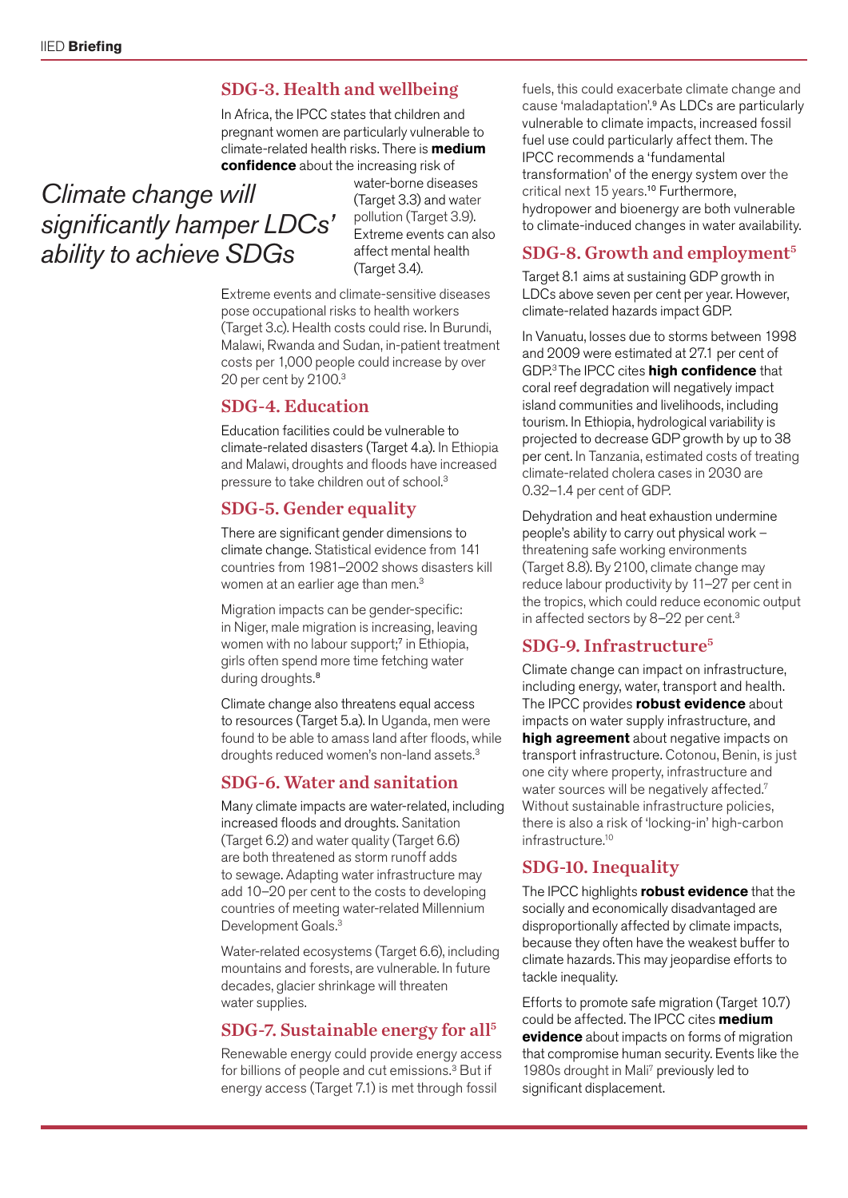#### SDG-3. Health and wellbeing

In Africa, the IPCC states that children and pregnant women are particularly vulnerable to climate-related health risks. There is **medium confidence** about the increasing risk of

### *Climate change will significantly hamper LDCs' ability to achieve SDGs*

water-borne diseases (Target 3.3) and water pollution (Target 3.9). Extreme events can also affect mental health (Target 3.4).

Extreme events and climate-sensitive diseases pose occupational risks to health workers (Target 3.c). Health costs could rise. In Burundi, Malawi, Rwanda and Sudan, in-patient treatment costs per 1,000 people could increase by over 20 per cent by 2100.3

#### SDG-4. Education

Education facilities could be vulnerable to climate-related disasters (Target 4.a). In Ethiopia and Malawi, droughts and floods have increased pressure to take children out of school.3

#### SDG-5. Gender equality

There are significant gender dimensions to climate change. Statistical evidence from 141 countries from 1981–2002 shows disasters kill women at an earlier age than men.<sup>3</sup>

Migration impacts can be gender-specific: in Niger, male migration is increasing, leaving women with no labour support;<sup>7</sup> in Ethiopia, girls often spend more time fetching water during droughts.<sup>8</sup>

Climate change also threatens equal access to resources (Target 5.a). In Uganda, men were found to be able to amass land after floods, while droughts reduced women's non-land assets.<sup>3</sup>

#### SDG-6. Water and sanitation

Many climate impacts are water-related, including increased floods and droughts. Sanitation (Target 6.2) and water quality (Target 6.6) are both threatened as storm runoff adds to sewage. Adapting water infrastructure may add 10–20 per cent to the costs to developing countries of meeting water-related Millennium Development Goals.<sup>3</sup>

Water-related ecosystems (Target 6.6), including mountains and forests, are vulnerable. In future decades, glacier shrinkage will threaten water supplies.

#### SDG-7. Sustainable energy for all<sup>5</sup>

Renewable energy could provide energy access for billions of people and cut emissions.3 But if energy access (Target 7.1) is met through fossil

fuels, this could exacerbate climate change and cause 'maladaptation'.<sup>9</sup> As LDCs are particularly vulnerable to climate impacts, increased fossil fuel use could particularly affect them. The IPCC recommends a 'fundamental transformation' of the energy system over the critical next 15 years.<sup>10</sup> Furthermore, hydropower and bioenergy are both vulnerable to climate-induced changes in water availability.

#### SDG-8. Growth and employment<sup>5</sup>

Target 8.1 aims at sustaining GDP growth in LDCs above seven per cent per year. However, climate-related hazards impact GDP.

In Vanuatu, losses due to storms between 1998 and 2009 were estimated at 27.1 per cent of GDP.3 The IPCC cites **high confidence** that coral reef degradation will negatively impact island communities and livelihoods, including tourism. In Ethiopia, hydrological variability is projected to decrease GDP growth by up to 38 per cent. In Tanzania, estimated costs of treating climate-related cholera cases in 2030 are 0.32–1.4 per cent of GDP.

Dehydration and heat exhaustion undermine people's ability to carry out physical work – threatening safe working environments (Target 8.8). By 2100, climate change may reduce labour productivity by 11–27 per cent in the tropics, which could reduce economic output in affected sectors by 8-22 per cent.<sup>3</sup>

#### SDG-9. Infrastructure<sup>5</sup>

Climate change can impact on infrastructure, including energy, water, transport and health. The IPCC provides **robust evidence** about impacts on water supply infrastructure, and **high agreement** about negative impacts on transport infrastructure. Cotonou, Benin, is just one city where property, infrastructure and water sources will be negatively affected.<sup>7</sup> Without sustainable infrastructure policies, there is also a risk of 'locking-in' high-carbon infrastructure.10

#### SDG-10. Inequality

The IPCC highlights **robust evidence** that the socially and economically disadvantaged are disproportionally affected by climate impacts, because they often have the weakest buffer to climate hazards.This may jeopardise efforts to tackle inequality.

Efforts to promote safe migration (Target 10.7) could be affected. The IPCC cites **medium evidence** about impacts on forms of migration that compromise human security. Events like the 1980s drought in Mali<sup>7</sup> previously led to significant displacement.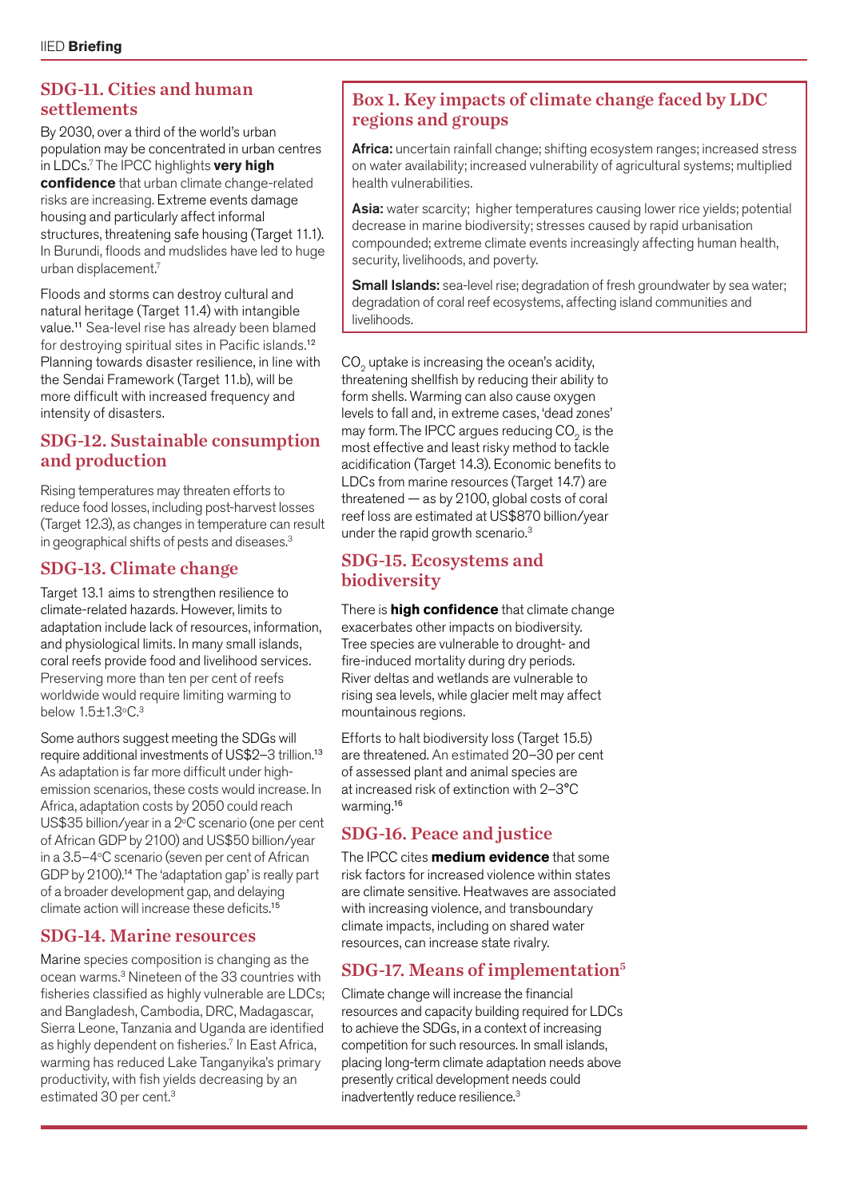#### SDG-11. Cities and human settlements

By 2030, over a third of the world's urban population may be concentrated in urban centres in LDCs.7 The IPCC highlights **very high confidence** that urban climate change-related risks are increasing. Extreme events damage housing and particularly affect informal structures, threatening safe housing (Target 11.1). In Burundi, floods and mudslides have led to huge urban displacement.7

Floods and storms can destroy cultural and natural heritage (Target 11.4) with intangible value.<sup>11</sup> Sea-level rise has already been blamed for destroying spiritual sites in Pacific islands.<sup>12</sup> Planning towards disaster resilience, in line with the Sendai Framework (Target 11.b), will be more difficult with increased frequency and intensity of disasters.

#### SDG-12. Sustainable consumption and production

Rising temperatures may threaten efforts to reduce food losses, including post-harvest losses (Target 12.3), as changes in temperature can result in geographical shifts of pests and diseases.3

#### SDG-13. Climate change

Target 13.1 aims to strengthen resilience to climate-related hazards. However, limits to adaptation include lack of resources, information, and physiological limits. In many small islands, coral reefs provide food and livelihood services. Preserving more than ten per cent of reefs worldwide would require limiting warming to below  $1.5 \pm 1.3$ °C. $3$ 

Some authors suggest meeting the SDGs will require additional investments of US\$2–3 trillion.<sup>13</sup> As adaptation is far more difficult under highemission scenarios, these costs would increase. In Africa, adaptation costs by 2050 could reach US\$35 billion/year in a 2°C scenario (one per cent of African GDP by 2100) and US\$50 billion/year in a 3.5–4°C scenario (seven per cent of African GDP by 2100).<sup>14</sup> The 'adaptation gap' is really part of a broader development gap, and delaying climate action will increase these deficits.<sup>15</sup>

#### SDG-14. Marine resources

Marine species composition is changing as the ocean warms.3 Nineteen of the 33 countries with fisheries classified as highly vulnerable are LDCs; and Bangladesh, Cambodia, DRC, Madagascar, Sierra Leone, Tanzania and Uganda are identified as highly dependent on fisheries.<sup>7</sup> In East Africa, warming has reduced Lake Tanganyika's primary productivity, with fish yields decreasing by an estimated 30 per cent.<sup>3</sup>

#### Box 1. Key impacts of climate change faced by LDC regions and groups

Africa: uncertain rainfall change; shifting ecosystem ranges; increased stress on water availability; increased vulnerability of agricultural systems; multiplied health vulnerabilities.

Asia: water scarcity; higher temperatures causing lower rice yields; potential decrease in marine biodiversity; stresses caused by rapid urbanisation compounded; extreme climate events increasingly affecting human health, security, livelihoods, and poverty.

**Small Islands:** sea-level rise; degradation of fresh groundwater by sea water; degradation of coral reef ecosystems, affecting island communities and livelihoods.

CO<sub>2</sub> uptake is increasing the ocean's acidity, threatening shellfish by reducing their ability to form shells. Warming can also cause oxygen levels to fall and, in extreme cases, 'dead zones' may form. The IPCC argues reducing CO<sub>2</sub> is the most effective and least risky method to tackle acidification (Target 14.3). Economic benefits to LDCs from marine resources (Target 14.7) are threatened — as by 2100, global costs of coral reef loss are estimated at US\$870 billion/year under the rapid growth scenario.3

#### SDG-15. Ecosystems and biodiversity

There is **high confidence** that climate change exacerbates other impacts on biodiversity. Tree species are vulnerable to drought- and fire-induced mortality during dry periods. River deltas and wetlands are vulnerable to rising sea levels, while glacier melt may affect mountainous regions.

Efforts to halt biodiversity loss (Target 15.5) are threatened. An estimated 20–30 per cent of assessed plant and animal species are at increased risk of extinction with 2–3°C warming.<sup>16</sup>

#### SDG-16. Peace and justice

The IPCC cites **medium evidence** that some risk factors for increased violence within states are climate sensitive. Heatwaves are associated with increasing violence, and transboundary climate impacts, including on shared water resources, can increase state rivalry.

#### SDG-17. Means of implementation<sup>5</sup>

Climate change will increase the financial resources and capacity building required for LDCs to achieve the SDGs, in a context of increasing competition for such resources. In small islands, placing long-term climate adaptation needs above presently critical development needs could inadvertently reduce resilience.<sup>3</sup>